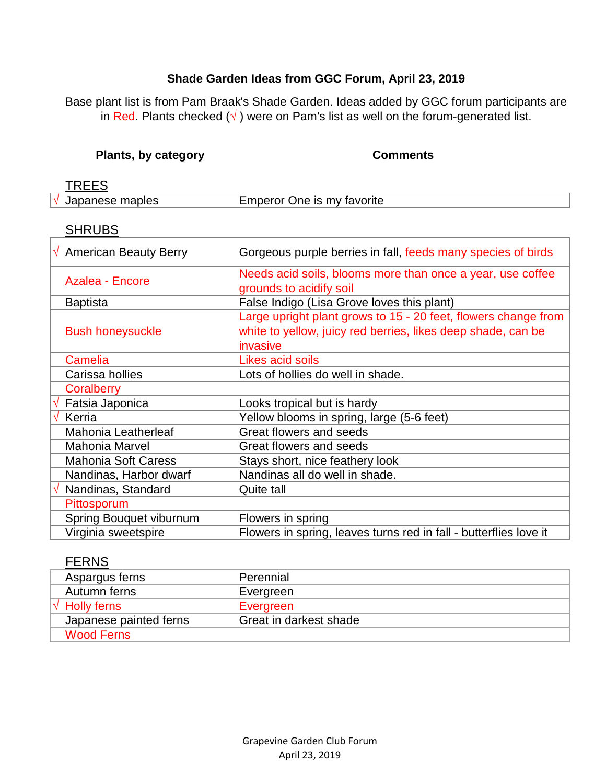#### **Shade Garden Ideas from GGC Forum, April 23, 2019**

Base plant list is from Pam Braak's Shade Garden. Ideas added by GGC forum participants are in Red. Plants checked ( $\sqrt{}$ ) were on Pam's list as well on the forum-generated list.

#### **Plants, by category <b>Comments**

| Japanese maples | Emperor One is my favorite |  |
|-----------------|----------------------------|--|
|                 |                            |  |

#### **SHRUBS**

| $\sqrt{ }$ American Beauty Berry | Gorgeous purple berries in fall, feeds many species of birds                                                                               |
|----------------------------------|--------------------------------------------------------------------------------------------------------------------------------------------|
| Azalea - Encore                  | Needs acid soils, blooms more than once a year, use coffee<br>grounds to acidify soil                                                      |
| <b>Baptista</b>                  | False Indigo (Lisa Grove loves this plant)                                                                                                 |
| <b>Bush honeysuckle</b>          | Large upright plant grows to 15 - 20 feet, flowers change from<br>white to yellow, juicy red berries, likes deep shade, can be<br>invasive |
| Camelia                          | <b>Likes acid soils</b>                                                                                                                    |
| Carissa hollies                  | Lots of hollies do well in shade.                                                                                                          |
| Coralberry                       |                                                                                                                                            |
| Fatsia Japonica<br>N             | Looks tropical but is hardy                                                                                                                |
| Kerria                           | Yellow blooms in spring, large (5-6 feet)                                                                                                  |
| Mahonia Leatherleaf              | Great flowers and seeds                                                                                                                    |
| <b>Mahonia Marvel</b>            | Great flowers and seeds                                                                                                                    |
| <b>Mahonia Soft Caress</b>       | Stays short, nice feathery look                                                                                                            |
| Nandinas, Harbor dwarf           | Nandinas all do well in shade.                                                                                                             |
| Nandinas, Standard               | Quite tall                                                                                                                                 |
| Pittosporum                      |                                                                                                                                            |
| Spring Bouquet viburnum          | Flowers in spring                                                                                                                          |
| Virginia sweetspire              | Flowers in spring, leaves turns red in fall - butterflies love it                                                                          |
|                                  |                                                                                                                                            |

| <b>FERNS</b>            |                        |
|-------------------------|------------------------|
| Aspargus ferns          | Perennial              |
| Autumn ferns            | Evergreen              |
| $\sqrt{\ }$ Holly ferns | Evergreen              |
| Japanese painted ferns  | Great in darkest shade |
| <b>Wood Ferns</b>       |                        |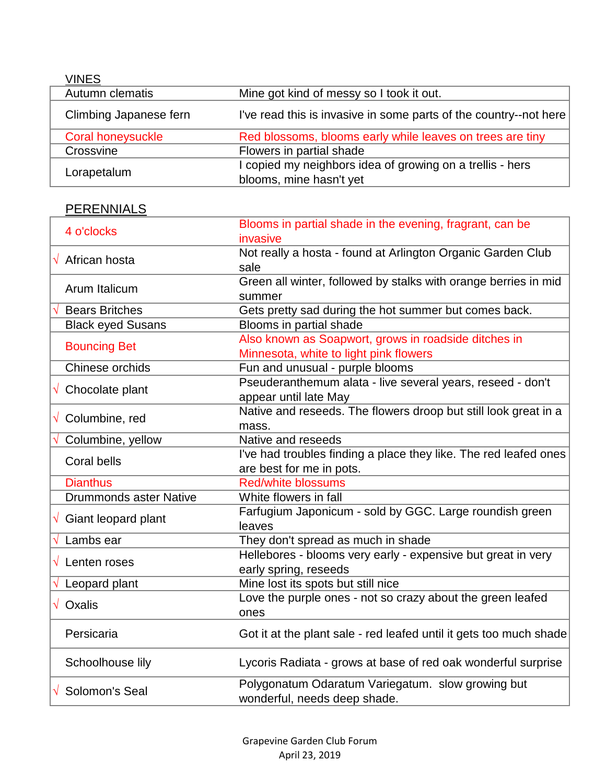| <b>VINES</b>           |                                                                                      |
|------------------------|--------------------------------------------------------------------------------------|
| Autumn clematis        | Mine got kind of messy so I took it out.                                             |
| Climbing Japanese fern | I've read this is invasive in some parts of the country--not here                    |
| Coral honeysuckle      | Red blossoms, blooms early while leaves on trees are tiny                            |
| Crossvine              | Flowers in partial shade                                                             |
| Lorapetalum            | I copied my neighbors idea of growing on a trellis - hers<br>blooms, mine hasn't yet |

# **PERENNIALS**

| 4 o'clocks                           | Blooms in partial shade in the evening, fragrant, can be           |
|--------------------------------------|--------------------------------------------------------------------|
|                                      | invasive                                                           |
| $\sqrt{ }$ African hosta             | Not really a hosta - found at Arlington Organic Garden Club        |
|                                      | sale                                                               |
|                                      | Green all winter, followed by stalks with orange berries in mid    |
| Arum Italicum                        | summer                                                             |
| <b>Bears Britches</b>                | Gets pretty sad during the hot summer but comes back.              |
| <b>Black eyed Susans</b>             | Blooms in partial shade                                            |
|                                      | Also known as Soapwort, grows in roadside ditches in               |
| <b>Bouncing Bet</b>                  | Minnesota, white to light pink flowers                             |
| Chinese orchids                      | Fun and unusual - purple blooms                                    |
|                                      | Pseuderanthemum alata - live several years, reseed - don't         |
| $\sqrt{\phantom{a}}$ Chocolate plant | appear until late May                                              |
|                                      | Native and reseeds. The flowers droop but still look great in a    |
| $\sqrt{\phantom{a}}$ Columbine, red  | mass.                                                              |
| Columbine, yellow                    | Native and reseeds                                                 |
|                                      | I've had troubles finding a place they like. The red leafed ones   |
| <b>Coral bells</b>                   | are best for me in pots.                                           |
| <b>Dianthus</b>                      | <b>Red/white blossums</b>                                          |
| <b>Drummonds aster Native</b>        | White flowers in fall                                              |
|                                      | Farfugium Japonicum - sold by GGC. Large roundish green            |
| $\sqrt{ }$ Giant leopard plant       | leaves                                                             |
| Lambs ear                            | They don't spread as much in shade                                 |
| $\sqrt{\phantom{a}}$ Lenten roses    | Hellebores - blooms very early - expensive but great in very       |
|                                      | early spring, reseeds                                              |
| $\sqrt{ }$ Leopard plant             | Mine lost its spots but still nice                                 |
| $\sqrt{}$ Oxalis                     | Love the purple ones - not so crazy about the green leafed         |
|                                      | ones                                                               |
| Persicaria                           | Got it at the plant sale - red leafed until it gets too much shade |
|                                      |                                                                    |
| Schoolhouse lily                     | Lycoris Radiata - grows at base of red oak wonderful surprise      |
|                                      |                                                                    |
| $\sqrt{\ }$ Solomon's Seal           | Polygonatum Odaratum Variegatum. slow growing but                  |
|                                      | wonderful, needs deep shade.                                       |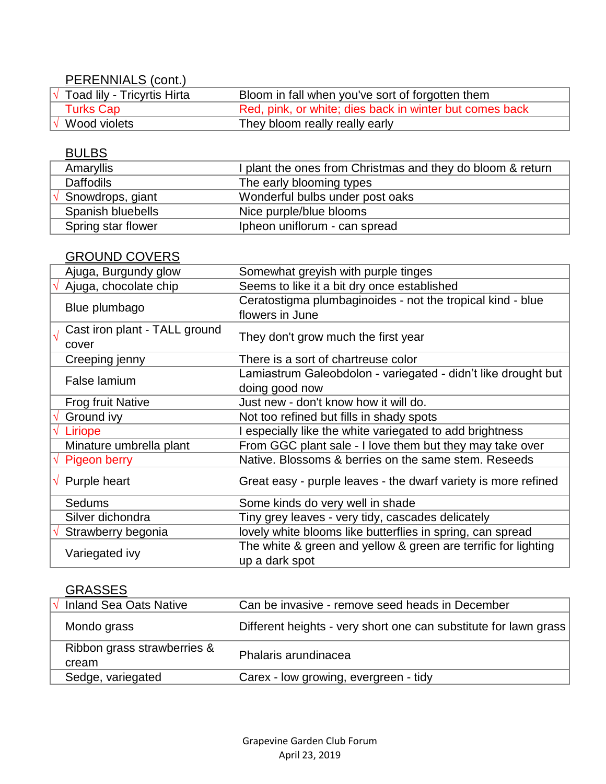# PERENNIALS (cont.)

| Toad lily - Tricyrtis Hirta | Bloom in fall when you've sort of forgotten them        |
|-----------------------------|---------------------------------------------------------|
| Turks Cap                   | Red, pink, or white; dies back in winter but comes back |
| Wood violets                | They bloom really really early                          |

### BULBS

| Amaryllis          | I plant the ones from Christmas and they do bloom & return |
|--------------------|------------------------------------------------------------|
| <b>Daffodils</b>   | The early blooming types                                   |
| Snowdrops, giant   | Wonderful bulbs under post oaks                            |
| Spanish bluebells  | Nice purple/blue blooms                                    |
| Spring star flower | Ipheon uniflorum - can spread                              |

#### GROUND COVERS

| Ajuga, Burgundy glow                   | Somewhat greyish with purple tinges                                              |
|----------------------------------------|----------------------------------------------------------------------------------|
| Ajuga, chocolate chip                  | Seems to like it a bit dry once established                                      |
| Blue plumbago                          | Ceratostigma plumbaginoides - not the tropical kind - blue<br>flowers in June    |
| Cast iron plant - TALL ground<br>cover | They don't grow much the first year                                              |
| Creeping jenny                         | There is a sort of chartreuse color                                              |
| False lamium                           | Lamiastrum Galeobdolon - variegated - didn't like drought but<br>doing good now  |
| <b>Frog fruit Native</b>               | Just new - don't know how it will do.                                            |
| Ground ivy                             | Not too refined but fills in shady spots                                         |
| Liriope                                | I especially like the white variegated to add brightness                         |
| Minature umbrella plant                | From GGC plant sale - I love them but they may take over                         |
| <b>Pigeon berry</b><br>$\sqrt{}$       | Native. Blossoms & berries on the same stem. Reseeds                             |
| $\sqrt{ }$ Purple heart                | Great easy - purple leaves - the dwarf variety is more refined                   |
| Sedums                                 | Some kinds do very well in shade                                                 |
| Silver dichondra                       | Tiny grey leaves - very tidy, cascades delicately                                |
| Strawberry begonia                     | lovely white blooms like butterflies in spring, can spread                       |
| Variegated ivy                         | The white & green and yellow & green are terrific for lighting<br>up a dark spot |

### **GRASSES**

| <b>Inland Sea Oats Native</b> | Can be invasive - remove seed heads in December                  |
|-------------------------------|------------------------------------------------------------------|
| Mondo grass                   | Different heights - very short one can substitute for lawn grass |
| Ribbon grass strawberries &   | Phalaris arundinacea                                             |
| cream                         |                                                                  |
| Sedge, variegated             | Carex - low growing, evergreen - tidy                            |